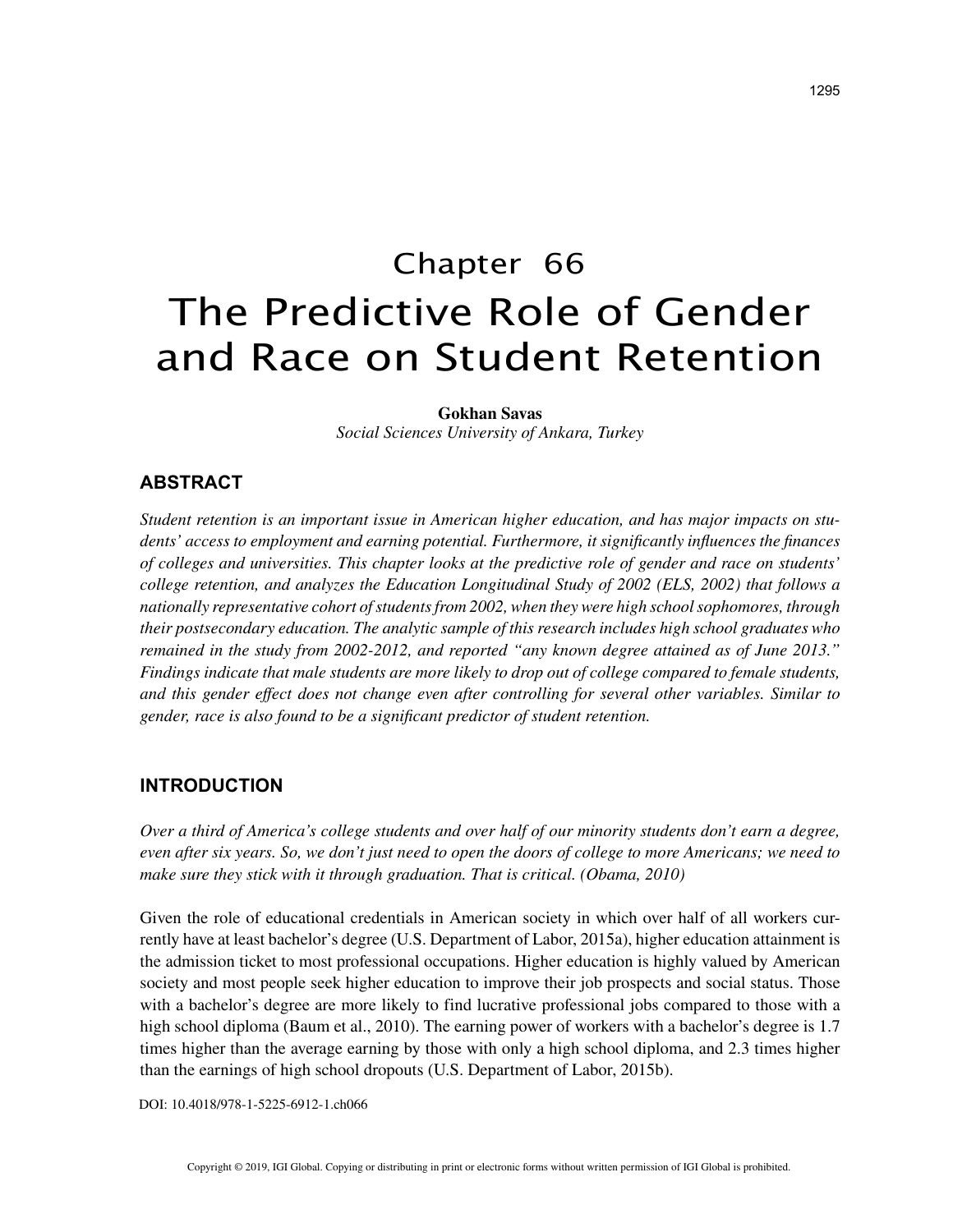# Chapter 66 The Predictive Role of Gender and Race on Student Retention

#### **Gokhan Savas**

*Social Sciences University of Ankara, Turkey*

## **ABSTRACT**

*Student retention is an important issue in American higher education, and has major impacts on students' access to employment and earning potential. Furthermore, it significantly influences the finances of colleges and universities. This chapter looks at the predictive role of gender and race on students' college retention, and analyzes the Education Longitudinal Study of 2002 (ELS, 2002) that follows a nationally representative cohort of students from 2002, when they were high school sophomores, through their postsecondary education. The analytic sample of this research includes high school graduates who remained in the study from 2002-2012, and reported "any known degree attained as of June 2013." Findings indicate that male students are more likely to drop out of college compared to female students, and this gender effect does not change even after controlling for several other variables. Similar to gender, race is also found to be a significant predictor of student retention.*

#### **INTRODUCTION**

*Over a third of America's college students and over half of our minority students don't earn a degree, even after six years. So, we don't just need to open the doors of college to more Americans; we need to make sure they stick with it through graduation. That is critical. (Obama, 2010)*

Given the role of educational credentials in American society in which over half of all workers currently have at least bachelor's degree (U.S. Department of Labor, 2015a), higher education attainment is the admission ticket to most professional occupations. Higher education is highly valued by American society and most people seek higher education to improve their job prospects and social status. Those with a bachelor's degree are more likely to find lucrative professional jobs compared to those with a high school diploma (Baum et al., 2010). The earning power of workers with a bachelor's degree is 1.7 times higher than the average earning by those with only a high school diploma, and 2.3 times higher than the earnings of high school dropouts (U.S. Department of Labor, 2015b).

DOI: 10.4018/978-1-5225-6912-1.ch066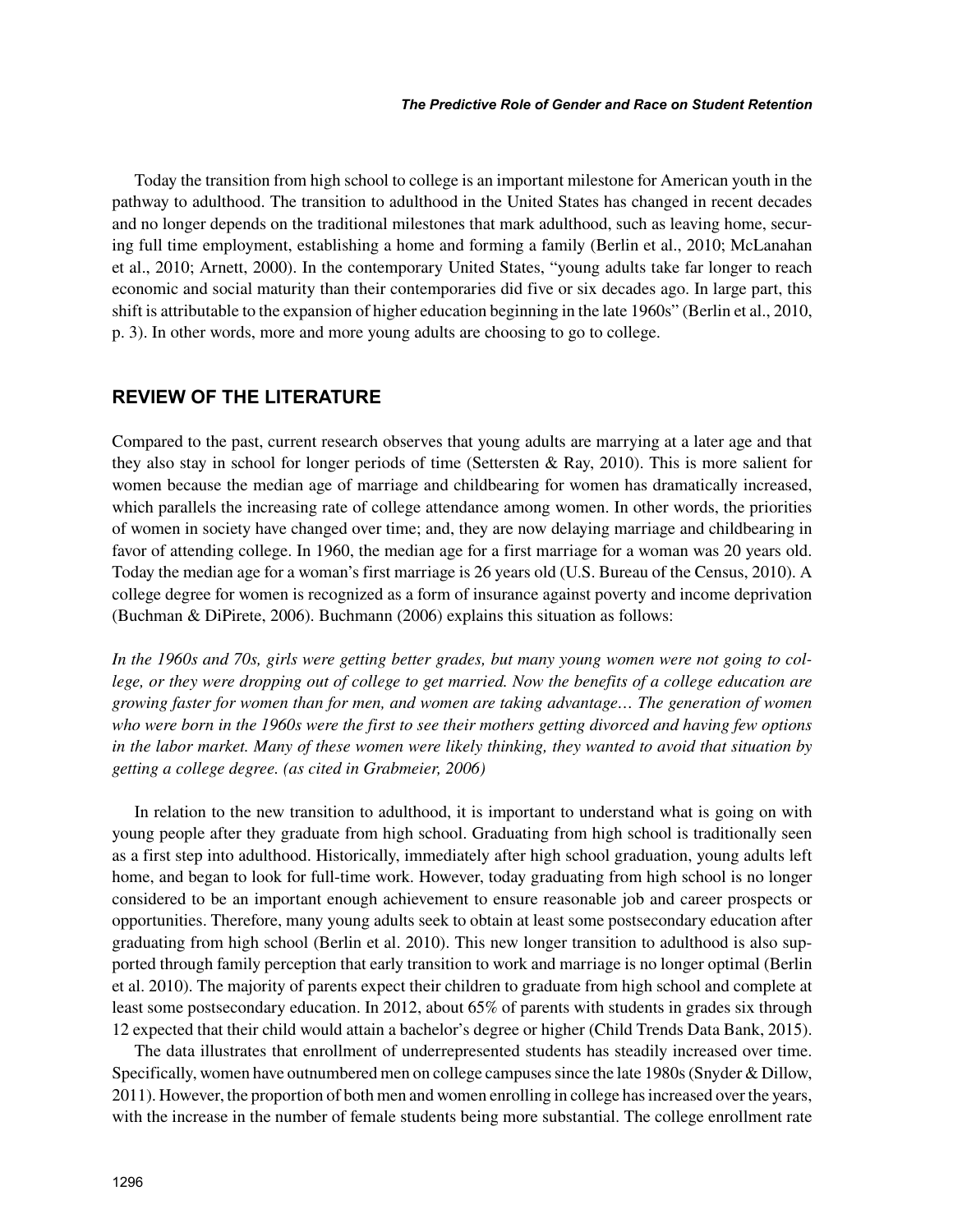Today the transition from high school to college is an important milestone for American youth in the pathway to adulthood. The transition to adulthood in the United States has changed in recent decades and no longer depends on the traditional milestones that mark adulthood, such as leaving home, securing full time employment, establishing a home and forming a family (Berlin et al., 2010; McLanahan et al., 2010; Arnett, 2000). In the contemporary United States, "young adults take far longer to reach economic and social maturity than their contemporaries did five or six decades ago. In large part, this shift is attributable to the expansion of higher education beginning in the late 1960s" (Berlin et al., 2010, p. 3). In other words, more and more young adults are choosing to go to college.

## **REVIEW OF THE LITERATURE**

Compared to the past, current research observes that young adults are marrying at a later age and that they also stay in school for longer periods of time (Settersten & Ray, 2010). This is more salient for women because the median age of marriage and childbearing for women has dramatically increased, which parallels the increasing rate of college attendance among women. In other words, the priorities of women in society have changed over time; and, they are now delaying marriage and childbearing in favor of attending college. In 1960, the median age for a first marriage for a woman was 20 years old. Today the median age for a woman's first marriage is 26 years old (U.S. Bureau of the Census, 2010). A college degree for women is recognized as a form of insurance against poverty and income deprivation (Buchman & DiPirete, 2006). Buchmann (2006) explains this situation as follows:

*In the 1960s and 70s, girls were getting better grades, but many young women were not going to college, or they were dropping out of college to get married. Now the benefits of a college education are growing faster for women than for men, and women are taking advantage… The generation of women who were born in the 1960s were the first to see their mothers getting divorced and having few options in the labor market. Many of these women were likely thinking, they wanted to avoid that situation by getting a college degree. (as cited in Grabmeier, 2006)*

In relation to the new transition to adulthood, it is important to understand what is going on with young people after they graduate from high school. Graduating from high school is traditionally seen as a first step into adulthood. Historically, immediately after high school graduation, young adults left home, and began to look for full-time work. However, today graduating from high school is no longer considered to be an important enough achievement to ensure reasonable job and career prospects or opportunities. Therefore, many young adults seek to obtain at least some postsecondary education after graduating from high school (Berlin et al. 2010). This new longer transition to adulthood is also supported through family perception that early transition to work and marriage is no longer optimal (Berlin et al. 2010). The majority of parents expect their children to graduate from high school and complete at least some postsecondary education. In 2012, about 65% of parents with students in grades six through 12 expected that their child would attain a bachelor's degree or higher (Child Trends Data Bank, 2015).

The data illustrates that enrollment of underrepresented students has steadily increased over time. Specifically, women have outnumbered men on college campuses since the late 1980s (Snyder & Dillow, 2011). However, the proportion of both men and women enrolling in college has increased over the years, with the increase in the number of female students being more substantial. The college enrollment rate